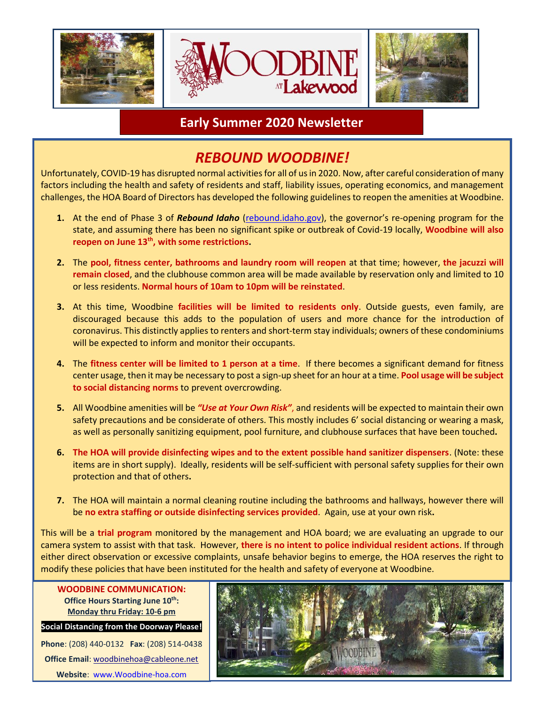

### **Early Summer 2020 Newsletter**

## *REBOUND WOODBINE!*

Unfortunately, COVID-19 has disrupted normal activities for all of us in 2020. Now, after careful consideration of many factors including the health and safety of residents and staff, liability issues, operating economics, and management challenges, the HOA Board of Directors has developed the following guidelines to reopen the amenities at Woodbine.

- **1.** At the end of Phase 3 of *Rebound Idaho* (rebound.idaho.gov), the governor's re-opening program for the state, and assuming there has been no significant spike or outbreak of Covid-19 locally, **Woodbine will also reopen on June 13th, with some restrictions.**
- **2.** The **pool, fitness center, bathrooms and laundry room will reopen** at that time; however, **the jacuzzi will remain closed**, and the clubhouse common area will be made available by reservation only and limited to 10 or less residents. **Normal hours of 10am to 10pm will be reinstated**.
- **3.** At this time, Woodbine **facilities will be limited to residents only**. Outside guests, even family, are discouraged because this adds to the population of users and more chance for the introduction of coronavirus. This distinctly applies to renters and short-term stay individuals; owners of these condominiums will be expected to inform and monitor their occupants.
- **4.** The **fitness center will be limited to 1 person at a time**. If there becomes a significant demand for fitness center usage, then it may be necessary to post a sign-up sheet for an hour at a time. **Pool usage will be subject to social distancing norms** to prevent overcrowding.
- **5.** All Woodbine amenities will be *"Use at Your Own Risk"*, and residents will be expected to maintain their own safety precautions and be considerate of others. This mostly includes 6' social distancing or wearing a mask, as well as personally sanitizing equipment, pool furniture, and clubhouse surfaces that have been touched**.**
- **6. The HOA will provide disinfecting wipes and to the extent possible hand sanitizer dispensers**. (Note: these items are in short supply). Ideally, residents will be self-sufficient with personal safety supplies for their own protection and that of others**.**
- **7.** The HOA will maintain a normal cleaning routine including the bathrooms and hallways, however there will be **no extra staffing or outside disinfecting services provided**. Again, use at your own risk**.**

This will be a **trial program** monitored by the management and HOA board; we are evaluating an upgrade to our camera system to assist with that task. However, **there is no intent to police individual resident actions**. If through either direct observation or excessive complaints, unsafe behavior begins to emerge, the HOA reserves the right to modify these policies that have been instituted for the health and safety of everyone at Woodbine.

**Office Hours Starting June 10 th: Monday thru Friday: 10-6 pm**

**Social Distancing from the Doorway Please! Phone**: (208) 440-0132 **Fax**: (208) 514-0438

**Office Email**: [woodbinehoa@cableone.net](mailto:woodbinehoa@cableone.net) **Website**: [www.Woodbine-hoa.com](http://www.woodbine-hoa.com/)

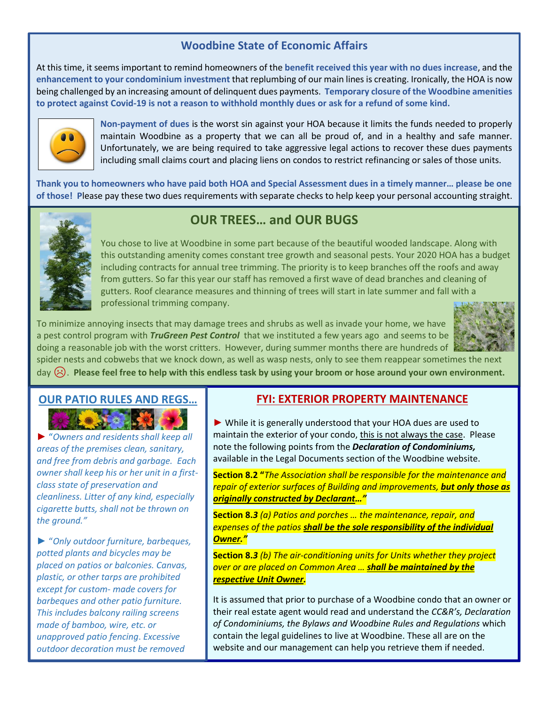#### **Woodbine State of Economic Affairs**

At this time, it seems important to remind homeowners of the **benefit received this year with no dues increase**, and the **enhancement to your condominium investment** that replumbing of our main lines is creating. Ironically, the HOA is now being challenged by an increasing amount of delinquent dues payments. **Temporary closure of the Woodbine amenities to protect against Covid-19 is not a reason to withhold monthly dues or ask for a refund of some kind.**



**Non-payment of dues** is the worst sin against your HOA because it limits the funds needed to properly maintain Woodbine as a property that we can all be proud of, and in a healthy and safe manner. Unfortunately, we are being required to take aggressive legal actions to recover these dues payments including small claims court and placing liens on condos to restrict refinancing or sales of those units.

**Thank you to homeowners who have paid both HOA and Special Assessment dues in a timely manner… please be one of those! P**lease pay these two dues requirements with separate checks to help keep your personal accounting straight.



### **OUR TREES… and OUR BUGS**

You chose to live at Woodbine in some part because of the beautiful wooded landscape. Along with this outstanding amenity comes constant tree growth and seasonal pests. Your 2020 HOA has a budget including contracts for annual tree trimming. The priority is to keep branches off the roofs and away from gutters. So far this year our staff has removed a first wave of dead branches and cleaning of gutters. Roof clearance measures and thinning of trees will start in late summer and fall with a professional trimming company.

To minimize annoying insects that may damage trees and shrubs as well as invade your home, we have a pest control program with *TruGreen Pest Control* that we instituted a few years ago and seems to be doing a reasonable job with the worst critters. However, during summer months there are hundreds of spider nests and cobwebs that we knock down, as well as wasp nests, only to see them reappear sometimes the next



day  $\heartsuit$ . Please feel free to help with this endless task by using your broom or hose around your own environment.

#### **OUR PATIO RULES AND REGS…**

► "*Owners and residents shall keep all areas of the premises clean, sanitary, and free from debris and garbage. Each owner shall keep his or her unit in a firstclass state of preservation and cleanliness. Litter of any kind, especially cigarette butts, shall not be thrown on the ground."*

► "*Only outdoor furniture, barbeques, potted plants and bicycles may be placed on patios or balconies. Canvas, plastic, or other tarps are prohibited except for custom- made covers for barbeques and other patio furniture. This includes balcony railing screens made of bamboo, wire, etc. or unapproved patio fencing*. *Excessive outdoor decoration must be removed* 

*upon HOA Board request."*

#### **FYI: EXTERIOR PROPERTY MAINTENANCE**

► While it is generally understood that your HOA dues are used to maintain the exterior of your condo, this is not always the case. Please note the following points from the *Declaration of Condominiums,* available in the Legal Documents section of the Woodbine website.

**Section 8.2 "***The Association shall be responsible for the maintenance and repair of exterior surfaces of Building and improvements, but only those as originally constructed by Declarant…"*

**Section 8.***3 (a) Patios and porches … the maintenance, repair, and expenses of the patios shall be the sole responsibility of the individual Owner."*

**Section 8.***3 (b) The air-conditioning units for Units whether they project over or are placed on Common Area … shall be maintained by the respective Unit Owner.*

It is assumed that prior to purchase of a Woodbine condo that an owner or their real estate agent would read and understand the *CC&R's, Declaration of Condominiums, the Bylaws and Woodbine Rules and Regulations* which contain the legal guidelines to live at Woodbine. These all are on the website and our management can help you retrieve them if needed.